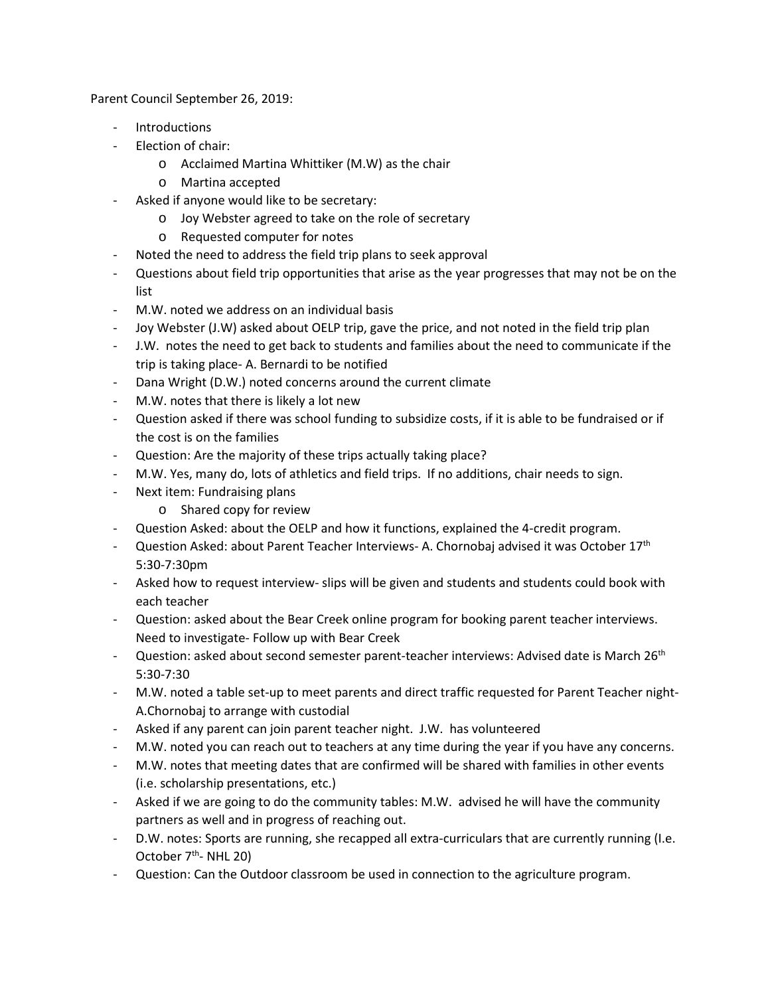Parent Council September 26, 2019:

- **Introductions**
- Election of chair:
	- o Acclaimed Martina Whittiker (M.W) as the chair
	- o Martina accepted
- Asked if anyone would like to be secretary:
	- o Joy Webster agreed to take on the role of secretary
	- o Requested computer for notes
- Noted the need to address the field trip plans to seek approval
- Questions about field trip opportunities that arise as the year progresses that may not be on the list
- M.W. noted we address on an individual basis
- Joy Webster (J.W) asked about OELP trip, gave the price, and not noted in the field trip plan
- J.W. notes the need to get back to students and families about the need to communicate if the trip is taking place- A. Bernardi to be notified
- Dana Wright (D.W.) noted concerns around the current climate
- M.W. notes that there is likely a lot new
- Question asked if there was school funding to subsidize costs, if it is able to be fundraised or if the cost is on the families
- Question: Are the majority of these trips actually taking place?
- M.W. Yes, many do, lots of athletics and field trips. If no additions, chair needs to sign.
- Next item: Fundraising plans
	- o Shared copy for review
- Question Asked: about the OELP and how it functions, explained the 4-credit program.
- Question Asked: about Parent Teacher Interviews- A. Chornobaj advised it was October  $17<sup>th</sup>$ 5:30-7:30pm
- Asked how to request interview- slips will be given and students and students could book with each teacher
- Question: asked about the Bear Creek online program for booking parent teacher interviews. Need to investigate- Follow up with Bear Creek
- Question: asked about second semester parent-teacher interviews: Advised date is March 26<sup>th</sup> 5:30-7:30
- M.W. noted a table set-up to meet parents and direct traffic requested for Parent Teacher night-A.Chornobaj to arrange with custodial
- Asked if any parent can join parent teacher night. J.W. has volunteered
- M.W. noted you can reach out to teachers at any time during the year if you have any concerns.
- M.W. notes that meeting dates that are confirmed will be shared with families in other events (i.e. scholarship presentations, etc.)
- Asked if we are going to do the community tables: M.W. advised he will have the community partners as well and in progress of reaching out.
- D.W. notes: Sports are running, she recapped all extra-curriculars that are currently running (I.e. October  $7<sup>th</sup>$ - NHL 20)
- Question: Can the Outdoor classroom be used in connection to the agriculture program.